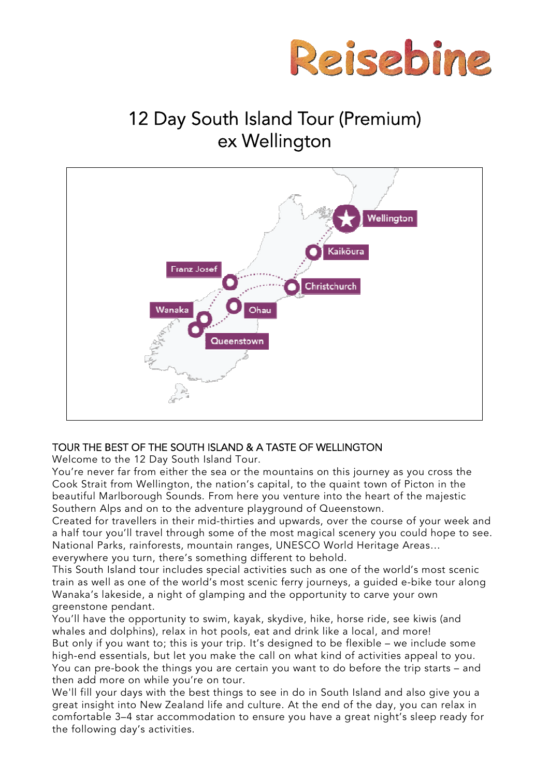

# 12 Day South Island Tour (Premium) ex Wellington



# TOUR THE BEST OF THE SOUTH ISLAND & A TASTE OF WELLINGTON

Welcome to the 12 Day South Island Tour.

You're never far from either the sea or the mountains on this journey as you cross the Cook Strait from Wellington, the nation's capital, to the quaint town of Picton in the beautiful Marlborough Sounds. From here you venture into the heart of the majestic Southern Alps and on to the adventure playground of Queenstown.

Created for travellers in their mid-thirties and upwards, over the course of your week and a half tour you'll travel through some of the most magical scenery you could hope to see. National Parks, rainforests, mountain ranges, UNESCO World Heritage Areas… everywhere you turn, there's something different to behold.

This South Island tour includes special activities such as one of the world's most scenic train as well as one of the world's most scenic ferry journeys, a guided e-bike tour along Wanaka's lakeside, a night of glamping and the opportunity to carve your own greenstone pendant.

You'll have the opportunity to swim, kayak, skydive, hike, horse ride, see kiwis (and whales and dolphins), relax in hot pools, eat and drink like a local, and more! But only if you want to; this is your trip. It's designed to be flexible – we include some high-end essentials, but let you make the call on what kind of activities appeal to you. You can pre-book the things you are certain you want to do before the trip starts – and then add more on while you're on tour.

We'll fill your days with the best things to see in do in South Island and also give you a great insight into New Zealand life and culture. At the end of the day, you can relax in comfortable 3–4 star accommodation to ensure you have a great night's sleep ready for the following day's activities.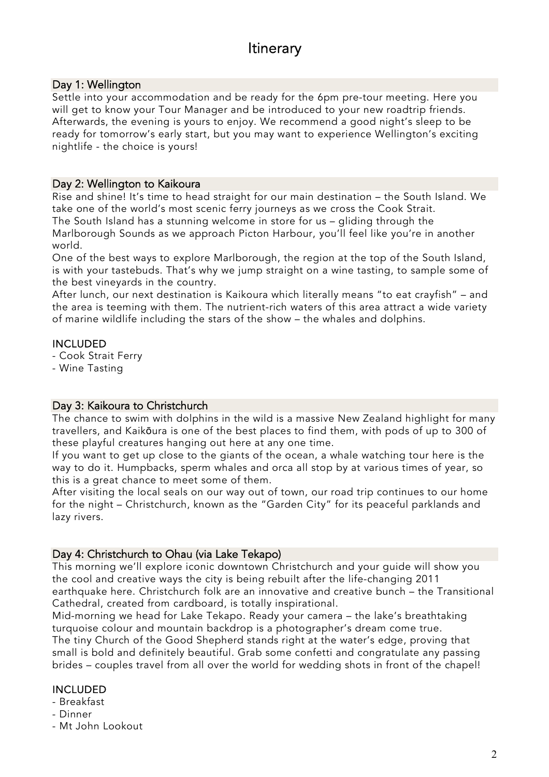# **Itinerary**

# Day 1: Wellington

Settle into your accommodation and be ready for the 6pm pre-tour meeting. Here you will get to know your Tour Manager and be introduced to your new roadtrip friends. Afterwards, the evening is yours to enjoy. We recommend a good night's sleep to be ready for tomorrow's early start, but you may want to experience Wellington's exciting nightlife - the choice is yours!

#### Day 2: Wellington to Kaikoura

Rise and shine! It's time to head straight for our main destination – the South Island. We take one of the world's most scenic ferry journeys as we cross the Cook Strait. The South Island has a stunning welcome in store for us – gliding through the Marlborough Sounds as we approach Picton Harbour, you'll feel like you're in another world.

One of the best ways to explore Marlborough, the region at the top of the South Island, is with your tastebuds. That's why we jump straight on a wine tasting, to sample some of the best vineyards in the country.

After lunch, our next destination is Kaikoura which literally means "to eat crayfish" – and the area is teeming with them. The nutrient-rich waters of this area attract a wide variety of marine wildlife including the stars of the show – the whales and dolphins.

#### INCLUDED

- Cook Strait Ferry
- Wine Tasting

#### Day 3: Kaikoura to Christchurch

The chance to swim with dolphins in the wild is a massive New Zealand highlight for many travellers, and Kaikōura is one of the best places to find them, with pods of up to 300 of these playful creatures hanging out here at any one time.

If you want to get up close to the giants of the ocean, a whale watching tour here is the way to do it. Humpbacks, sperm whales and orca all stop by at various times of year, so this is a great chance to meet some of them.

After visiting the local seals on our way out of town, our road trip continues to our home for the night – Christchurch, known as the "Garden City" for its peaceful parklands and lazy rivers.

#### Day 4: Christchurch to Ohau (via Lake Tekapo)

This morning we'll explore iconic downtown Christchurch and your guide will show you the cool and creative ways the city is being rebuilt after the life-changing 2011 earthquake here. Christchurch folk are an innovative and creative bunch – the Transitional Cathedral, created from cardboard, is totally inspirational.

Mid-morning we head for Lake Tekapo. Ready your camera – the lake's breathtaking turquoise colour and mountain backdrop is a photographer's dream come true. The tiny Church of the Good Shepherd stands right at the water's edge, proving that

small is bold and definitely beautiful. Grab some confetti and congratulate any passing brides – couples travel from all over the world for wedding shots in front of the chapel!

#### INCLUDED

- Breakfast
- Dinner
- Mt John Lookout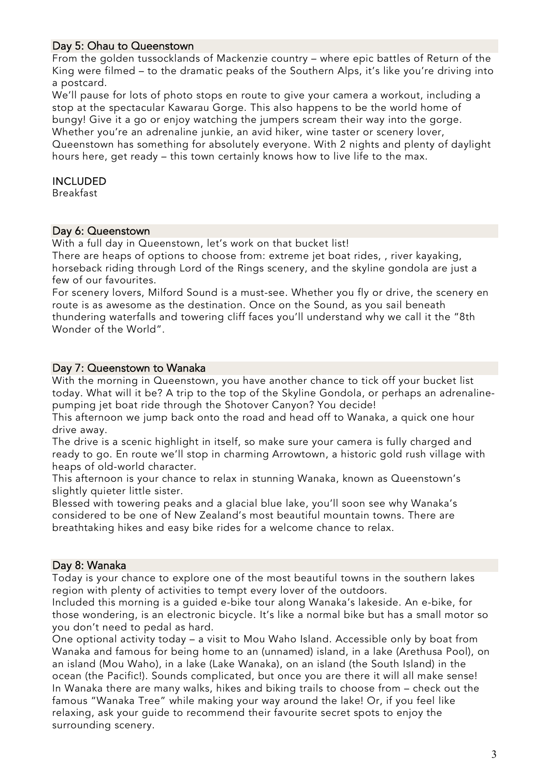# Day 5: Ohau to Queenstown

From the golden tussocklands of Mackenzie country – where epic battles of Return of the King were filmed – to the dramatic peaks of the Southern Alps, it's like you're driving into a postcard.

We'll pause for lots of photo stops en route to give your camera a workout, including a stop at the spectacular Kawarau Gorge. This also happens to be the world home of bungy! Give it a go or enjoy watching the jumpers scream their way into the gorge. Whether you're an adrenaline junkie, an avid hiker, wine taster or scenery lover, Queenstown has something for absolutely everyone. With 2 nights and plenty of daylight hours here, get ready – this town certainly knows how to live life to the max.

#### INCLUDED

Breakfast

#### Day 6: Queenstown

With a full day in Queenstown, let's work on that bucket list! There are heaps of options to choose from: extreme jet boat rides, , river kayaking, horseback riding through Lord of the Rings scenery, and the skyline gondola are just a few of our favourites.

For scenery lovers, Milford Sound is a must-see. Whether you fly or drive, the scenery en route is as awesome as the destination. Once on the Sound, as you sail beneath thundering waterfalls and towering cliff faces you'll understand why we call it the "8th Wonder of the World".

#### Day 7: Queenstown to Wanaka

With the morning in Queenstown, you have another chance to tick off your bucket list today. What will it be? A trip to the top of the Skyline Gondola, or perhaps an adrenalinepumping jet boat ride through the Shotover Canyon? You decide!

This afternoon we jump back onto the road and head off to Wanaka, a quick one hour drive away.

The drive is a scenic highlight in itself, so make sure your camera is fully charged and ready to go. En route we'll stop in charming Arrowtown, a historic gold rush village with heaps of old-world character.

This afternoon is your chance to relax in stunning Wanaka, known as Queenstown's slightly quieter little sister.

Blessed with towering peaks and a glacial blue lake, you'll soon see why Wanaka's considered to be one of New Zealand's most beautiful mountain towns. There are breathtaking hikes and easy bike rides for a welcome chance to relax.

#### Day 8: Wanaka

Today is your chance to explore one of the most beautiful towns in the southern lakes region with plenty of activities to tempt every lover of the outdoors.

Included this morning is a guided e-bike tour along Wanaka's lakeside. An e-bike, for those wondering, is an electronic bicycle. It's like a normal bike but has a small motor so you don't need to pedal as hard.

One optional activity today – a visit to Mou Waho Island. Accessible only by boat from Wanaka and famous for being home to an (unnamed) island, in a lake (Arethusa Pool), on an island (Mou Waho), in a lake (Lake Wanaka), on an island (the South Island) in the ocean (the Pacific!). Sounds complicated, but once you are there it will all make sense! In Wanaka there are many walks, hikes and biking trails to choose from – check out the famous "Wanaka Tree" while making your way around the lake! Or, if you feel like relaxing, ask your guide to recommend their favourite secret spots to enjoy the surrounding scenery.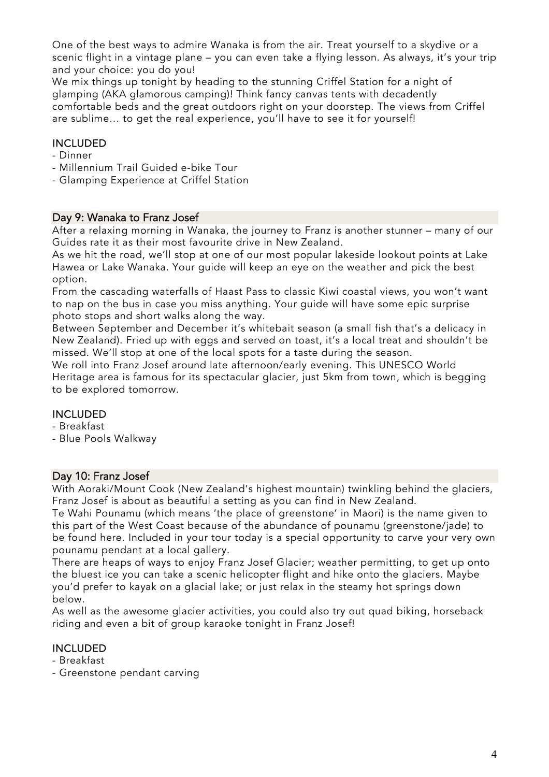One of the best ways to admire Wanaka is from the air. Treat yourself to a skydive or a scenic flight in a vintage plane – you can even take a flying lesson. As always, it's your trip and your choice: you do you!

We mix things up tonight by heading to the stunning Criffel Station for a night of glamping (AKA glamorous camping)! Think fancy canvas tents with decadently comfortable beds and the great outdoors right on your doorstep. The views from Criffel are sublime… to get the real experience, you'll have to see it for yourself!

# INCLUDED

- Dinner
- Millennium Trail Guided e-bike Tour
- Glamping Experience at Criffel Station

#### Day 9: Wanaka to Franz Josef

After a relaxing morning in Wanaka, the journey to Franz is another stunner – many of our Guides rate it as their most favourite drive in New Zealand.

As we hit the road, we'll stop at one of our most popular lakeside lookout points at Lake Hawea or Lake Wanaka. Your guide will keep an eye on the weather and pick the best option.

From the cascading waterfalls of Haast Pass to classic Kiwi coastal views, you won't want to nap on the bus in case you miss anything. Your guide will have some epic surprise photo stops and short walks along the way.

Between September and December it's whitebait season (a small fish that's a delicacy in New Zealand). Fried up with eggs and served on toast, it's a local treat and shouldn't be missed. We'll stop at one of the local spots for a taste during the season.

We roll into Franz Josef around late afternoon/early evening. This UNESCO World Heritage area is famous for its spectacular glacier, just 5km from town, which is begging to be explored tomorrow.

#### INCLUDED

- Breakfast
- Blue Pools Walkway

#### Day 10: Franz Josef

With Aoraki/Mount Cook (New Zealand's highest mountain) twinkling behind the glaciers, Franz Josef is about as beautiful a setting as you can find in New Zealand.

Te Wahi Pounamu (which means 'the place of greenstone' in Maori) is the name given to this part of the West Coast because of the abundance of pounamu (greenstone/jade) to be found here. Included in your tour today is a special opportunity to carve your very own pounamu pendant at a local gallery.

There are heaps of ways to enjoy Franz Josef Glacier; weather permitting, to get up onto the bluest ice you can take a scenic helicopter flight and hike onto the glaciers. Maybe you'd prefer to kayak on a glacial lake; or just relax in the steamy hot springs down below.

As well as the awesome glacier activities, you could also try out quad biking, horseback riding and even a bit of group karaoke tonight in Franz Josef!

#### INCLUDED

- Breakfast

- Greenstone pendant carving